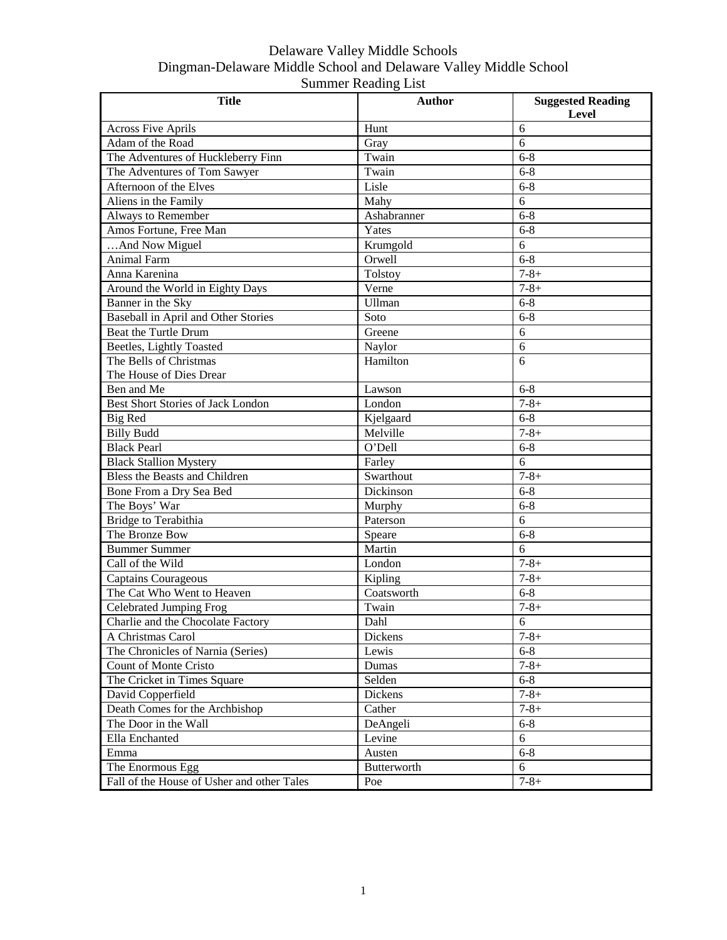| <b>Title</b>                               | <b>Author</b> | <b>Suggested Reading</b> |
|--------------------------------------------|---------------|--------------------------|
|                                            |               | Level                    |
| <b>Across Five Aprils</b>                  | Hunt          | 6                        |
| Adam of the Road                           | Gray          | 6                        |
| The Adventures of Huckleberry Finn         | Twain         | $6 - 8$                  |
| The Adventures of Tom Sawyer               | Twain         | $6 - 8$                  |
| Afternoon of the Elves                     | Lisle         | $6 - 8$                  |
| Aliens in the Family                       | Mahy          | 6                        |
| Always to Remember                         | Ashabranner   | $6 - 8$                  |
| Amos Fortune, Free Man                     | Yates         | $6 - 8$                  |
| And Now Miguel                             | Krumgold      | 6                        |
| Animal Farm                                | Orwell        | $6 - 8$                  |
| Anna Karenina                              | Tolstoy       | $7 - 8 +$                |
| Around the World in Eighty Days            | Verne         | $7 - 8 +$                |
| Banner in the Sky                          | Ullman        | $6 - 8$                  |
| Baseball in April and Other Stories        | Soto          | $6 - 8$                  |
| <b>Beat the Turtle Drum</b>                | Greene        | 6                        |
| Beetles, Lightly Toasted                   | Naylor        | 6                        |
| The Bells of Christmas                     | Hamilton      | 6                        |
| The House of Dies Drear                    |               |                          |
| Ben and Me                                 | Lawson        | $6 - 8$                  |
| <b>Best Short Stories of Jack London</b>   | London        | $7 - 8 +$                |
| <b>Big Red</b>                             | Kjelgaard     | $6 - 8$                  |
| <b>Billy Budd</b>                          | Melville      | $7 - 8 +$                |
| <b>Black Pearl</b>                         | O'Dell        | $6 - 8$                  |
| <b>Black Stallion Mystery</b>              | Farley        | 6                        |
| Bless the Beasts and Children              | Swarthout     | $7 - 8 +$                |
| Bone From a Dry Sea Bed                    | Dickinson     | $6 - 8$                  |
| The Boys' War                              | Murphy        | $6 - 8$                  |
| Bridge to Terabithia                       | Paterson      | 6                        |
| The Bronze Bow                             | Speare        | $6 - 8$                  |
| <b>Bummer Summer</b>                       | Martin        | 6                        |
| Call of the Wild                           | London        | $7 - 8 +$                |
| <b>Captains Courageous</b>                 | Kipling       | $7 - 8 +$                |
| The Cat Who Went to Heaven                 | Coatsworth    | $6 - 8$                  |
| Celebrated Jumping Frog                    | Twain         | $7 - 8 +$                |
| Charlie and the Chocolate Factory          | Dahl          | 6                        |
| A Christmas Carol                          | Dickens       | $7 - 8 +$                |
| The Chronicles of Narnia (Series)          | Lewis         | $6 - 8$                  |
| Count of Monte Cristo                      | Dumas         | $7 - 8 +$                |
| The Cricket in Times Square                | Selden        | $6 - 8$                  |
| David Copperfield                          | Dickens       | $7 - 8 +$                |
| Death Comes for the Archbishop             | Cather        | $7 - 8 +$                |
| The Door in the Wall                       | DeAngeli      | $6 - 8$                  |
| Ella Enchanted                             | Levine        | 6                        |
| Emma                                       | Austen        | $6 - 8$                  |
| The Enormous Egg                           | Butterworth   | 6                        |
| Fall of the House of Usher and other Tales | Poe           | $7 - 8 +$                |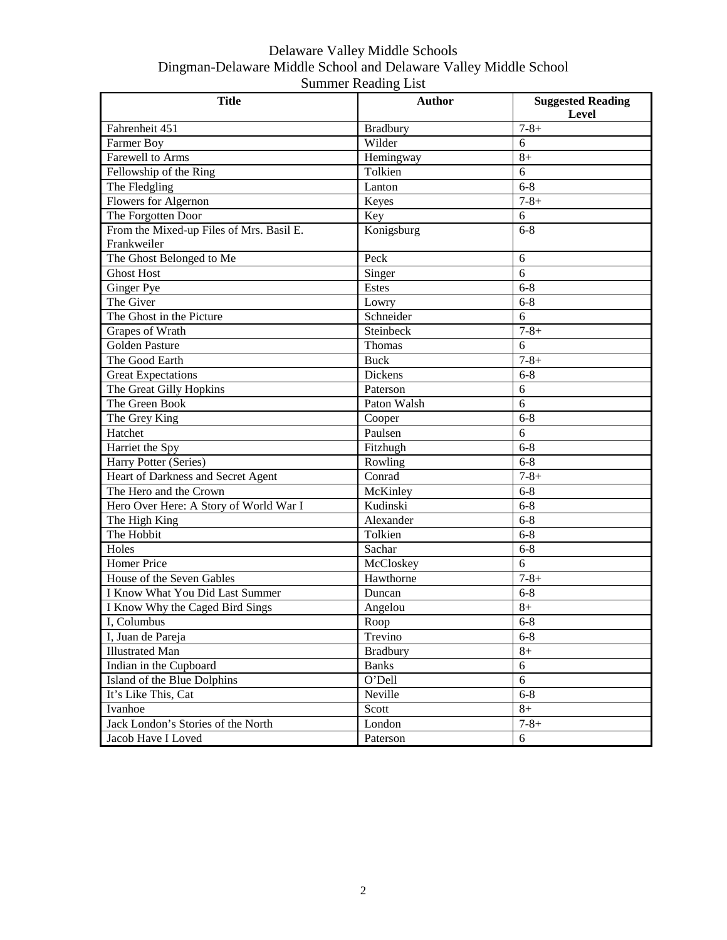| <b>Title</b>                             | <b>Author</b>   | <b>Suggested Reading</b> |
|------------------------------------------|-----------------|--------------------------|
|                                          |                 | <b>Level</b>             |
| Fahrenheit 451                           | <b>Bradbury</b> | $7 - 8 +$                |
| Farmer Boy                               | Wilder          | 6                        |
| Farewell to Arms                         | Hemingway       | $8+$                     |
| Fellowship of the Ring                   | Tolkien         | 6                        |
| The Fledgling                            | Lanton          | $6 - 8$                  |
| Flowers for Algernon                     | Keyes           | $7 - 8 +$                |
| The Forgotten Door                       | Key             | 6                        |
| From the Mixed-up Files of Mrs. Basil E. | Konigsburg      | $6 - 8$                  |
| Frankweiler                              |                 |                          |
| The Ghost Belonged to Me                 | Peck            | 6                        |
| <b>Ghost Host</b>                        | Singer          | 6                        |
| <b>Ginger Pye</b>                        | Estes           | $6 - 8$                  |
| The Giver                                | Lowry           | $6 - 8$                  |
| The Ghost in the Picture                 | Schneider       | 6                        |
| Grapes of Wrath                          | Steinbeck       | $7 - 8 +$                |
| Golden Pasture                           | Thomas          | 6                        |
| The Good Earth                           | <b>Buck</b>     | $\overline{7} - 8 +$     |
| <b>Great Expectations</b>                | <b>Dickens</b>  | $6 - 8$                  |
| The Great Gilly Hopkins                  | Paterson        | 6                        |
| The Green Book                           | Paton Walsh     | 6                        |
| The Grey King                            | Cooper          | $6 - 8$                  |
| Hatchet                                  | Paulsen         | 6                        |
| Harriet the Spy                          | Fitzhugh        | $6 - 8$                  |
| Harry Potter (Series)                    | Rowling         | $6 - 8$                  |
| Heart of Darkness and Secret Agent       | Conrad          | $7 - 8 +$                |
| The Hero and the Crown                   | McKinley        | $6 - 8$                  |
| Hero Over Here: A Story of World War I   | Kudinski        | $6 - 8$                  |
| The High King                            | Alexander       | $6 - 8$                  |
| The Hobbit                               | Tolkien         | $6 - 8$                  |
| Holes                                    | Sachar          | $6 - 8$                  |
| <b>Homer Price</b>                       | McCloskey       | 6                        |
| House of the Seven Gables                | Hawthorne       | $7 - 8 +$                |
| I Know What You Did Last Summer          | Duncan          | $6 - 8$                  |
| I Know Why the Caged Bird Sings          | Angelou         | $8+$                     |
| I, Columbus                              | Roop            | $6 - 8$                  |
| I, Juan de Pareja                        | Trevino         | $6 - 8$                  |
| <b>Illustrated Man</b>                   | <b>Bradbury</b> | $8+$                     |
| Indian in the Cupboard                   | <b>Banks</b>    | 6                        |
| Island of the Blue Dolphins              | O'Dell          | $\overline{6}$           |
| It's Like This, Cat                      | Neville         | $6 - 8$                  |
| Ivanhoe                                  | Scott           | $8+$                     |
| Jack London's Stories of the North       | London          | $7 - 8 +$                |
| Jacob Have I Loved                       | Paterson        | 6                        |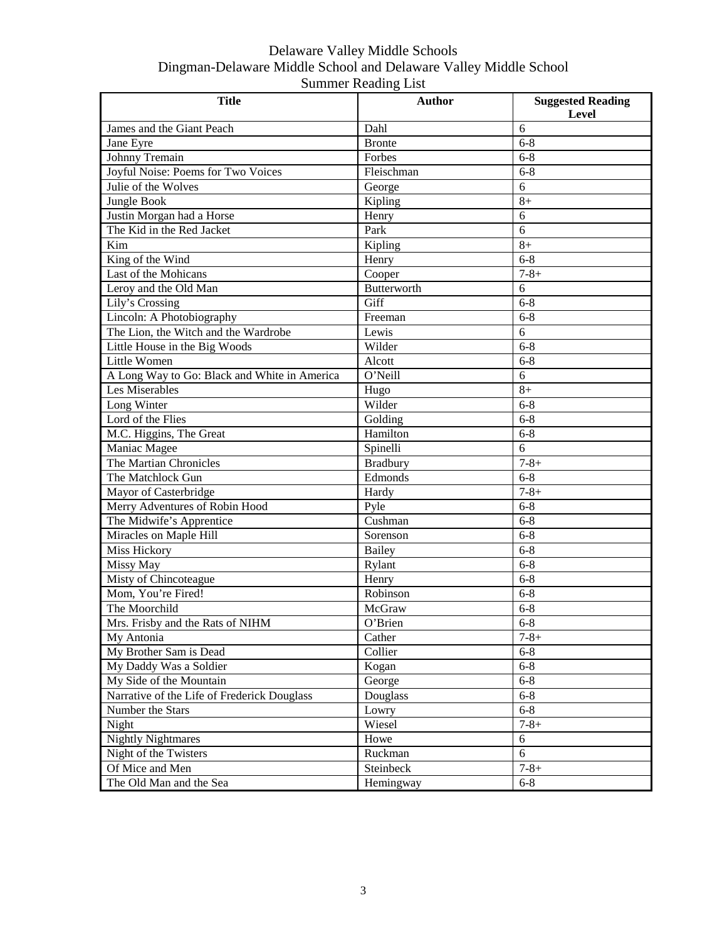| <b>Title</b>                                 | <b>Author</b>   | <b>Suggested Reading</b><br>Level |
|----------------------------------------------|-----------------|-----------------------------------|
| James and the Giant Peach                    | Dahl            | 6                                 |
| Jane Eyre                                    | <b>Bronte</b>   | $6 - 8$                           |
| Johnny Tremain                               | Forbes          | $6 - 8$                           |
| Joyful Noise: Poems for Two Voices           | Fleischman      | $6 - 8$                           |
| Julie of the Wolves                          | George          | 6                                 |
| Jungle Book                                  | Kipling         | $8+$                              |
| Justin Morgan had a Horse                    | Henry           | 6                                 |
| The Kid in the Red Jacket                    | Park            | 6                                 |
| Kim                                          | Kipling         | $8+$                              |
| King of the Wind                             | Henry           | $6 - 8$                           |
| Last of the Mohicans                         | Cooper          | $7 - 8 +$                         |
| Leroy and the Old Man                        | Butterworth     | 6                                 |
| Lily's Crossing                              | Giff            | $6 - 8$                           |
| Lincoln: A Photobiography                    | Freeman         | $6 - 8$                           |
| The Lion, the Witch and the Wardrobe         | Lewis           | 6                                 |
| Little House in the Big Woods                | Wilder          | $6 - 8$                           |
| Little Women                                 | Alcott          | $6 - 8$                           |
| A Long Way to Go: Black and White in America | O'Neill         | 6                                 |
| Les Miserables                               | Hugo            | $8+$                              |
| Long Winter                                  | Wilder          | $6 - 8$                           |
| Lord of the Flies                            | Golding         | $6 - 8$                           |
| M.C. Higgins, The Great                      | Hamilton        | $6 - 8$                           |
| Maniac Magee                                 | Spinelli        | 6                                 |
| The Martian Chronicles                       | <b>Bradbury</b> | $7 - 8 +$                         |
| The Matchlock Gun                            | Edmonds         | $6 - 8$                           |
| Mayor of Casterbridge                        | Hardy           | $7 - 8 +$                         |
| Merry Adventures of Robin Hood               | Pyle            | $6 - 8$                           |
| The Midwife's Apprentice                     | Cushman         | $6 - 8$                           |
| Miracles on Maple Hill                       | Sorenson        | $6 - 8$                           |
| Miss Hickory                                 | Bailey          | $6 - 8$                           |
| Missy May                                    | Rylant          | $6 - 8$                           |
| Misty of Chincoteague                        | Henry           | $6 - 8$                           |
| Mom, You're Fired!                           | Robinson        | $6 - 8$                           |
| The Moorchild                                | McGraw          | $6 - 8$                           |
| Mrs. Frisby and the Rats of NIHM             | O'Brien         | $6 - 8$                           |
| My Antonia                                   | Cather          | $7 - 8 +$                         |
| My Brother Sam is Dead                       | Collier         | $6 - 8$                           |
| My Daddy Was a Soldier                       | Kogan           | $6 - 8$                           |
| My Side of the Mountain                      | George          | $6 - 8$                           |
| Narrative of the Life of Frederick Douglass  | Douglass        | $6 - 8$                           |
| Number the Stars                             | Lowry           | $6 - 8$                           |
| Night                                        | Wiesel          | $7 - 8 +$                         |
| <b>Nightly Nightmares</b>                    | Howe            | 6                                 |
| Night of the Twisters                        | Ruckman         | 6                                 |
| Of Mice and Men                              | Steinbeck       | $7 - 8 +$                         |
| The Old Man and the Sea                      | Hemingway       | $6 - 8$                           |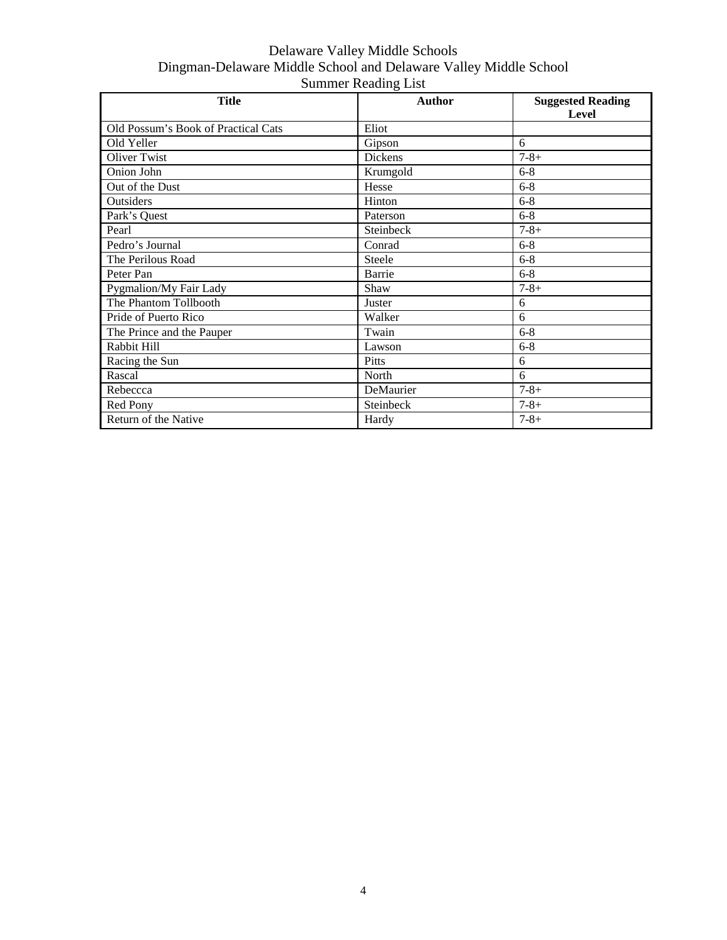| <b>Title</b>                        | <b>Author</b> | <b>Suggested Reading</b><br>Level |
|-------------------------------------|---------------|-----------------------------------|
| Old Possum's Book of Practical Cats | Eliot         |                                   |
| Old Yeller                          | Gipson        | 6                                 |
| Oliver Twist                        | Dickens       | $7 - 8 +$                         |
| Onion John                          | Krumgold      | $6 - 8$                           |
| Out of the Dust                     | Hesse         | $6 - 8$                           |
| Outsiders                           | Hinton        | $6 - 8$                           |
| Park's Quest                        | Paterson      | $6 - 8$                           |
| Pearl                               | Steinbeck     | $7 - 8 +$                         |
| Pedro's Journal                     | Conrad        | $6 - 8$                           |
| The Perilous Road                   | Steele        | $6 - 8$                           |
| Peter Pan                           | Barrie        | $6 - 8$                           |
| Pygmalion/My Fair Lady              | Shaw          | $7 - 8 +$                         |
| The Phantom Tollbooth               | Juster        | 6                                 |
| Pride of Puerto Rico                | Walker        | 6                                 |
| The Prince and the Pauper           | Twain         | $6 - 8$                           |
| Rabbit Hill                         | Lawson        | $6 - 8$                           |
| Racing the Sun                      | Pitts         | 6                                 |
| Rascal                              | North         | 6                                 |
| Rebeccca                            | DeMaurier     | $7 - 8 +$                         |
| Red Pony                            | Steinbeck     | $7 - 8 +$                         |
| Return of the Native                | Hardy         | $7 - 8 +$                         |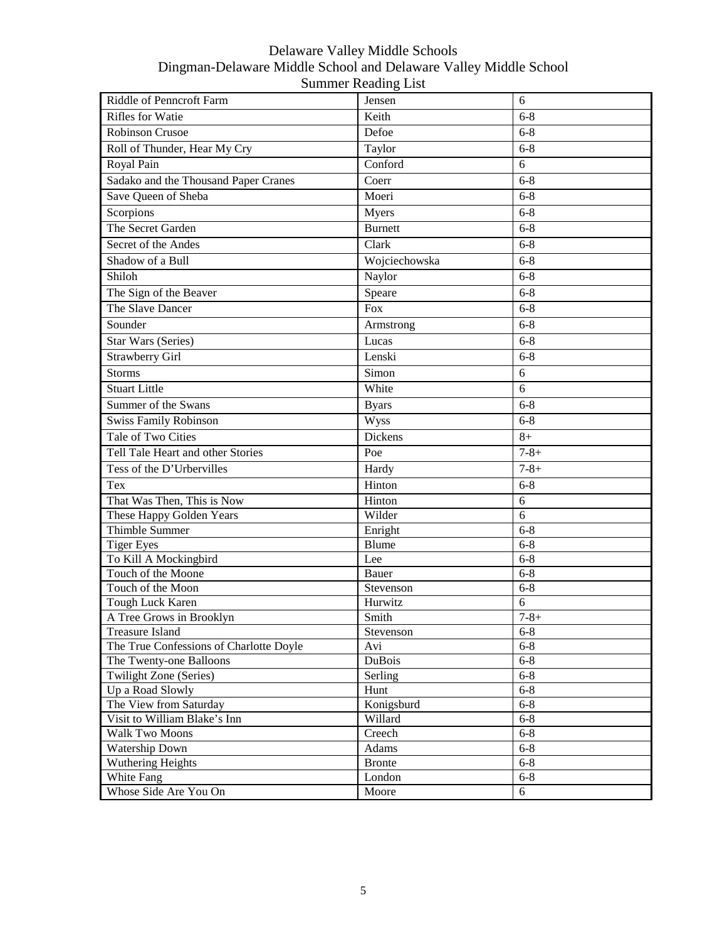| Riddle of Penncroft Farm                     | Jensen           | 6            |
|----------------------------------------------|------------------|--------------|
| <b>Rifles for Watie</b>                      | Keith            | $6 - 8$      |
| Robinson Crusoe                              | Defoe            | $6 - 8$      |
| Roll of Thunder, Hear My Cry                 | Taylor           | $6 - 8$      |
| Royal Pain                                   | Conford          | 6            |
| Sadako and the Thousand Paper Cranes         | Coerr            | $6 - 8$      |
| Save Queen of Sheba                          | Moeri            | $6 - 8$      |
| Scorpions                                    | Myers            | $6 - 8$      |
| The Secret Garden                            | <b>Burnett</b>   | $6 - 8$      |
| Secret of the Andes                          | Clark            | $6 - 8$      |
| Shadow of a Bull                             | Wojciechowska    | $6 - 8$      |
| Shiloh                                       | Naylor           | $6 - 8$      |
| The Sign of the Beaver                       | Speare           | $6 - 8$      |
| The Slave Dancer                             | Fox              | $6 - 8$      |
| Sounder                                      | Armstrong        | $6 - 8$      |
| <b>Star Wars (Series)</b>                    | Lucas            | $6 - 8$      |
| <b>Strawberry Girl</b>                       | Lenski           | $6 - 8$      |
| <b>Storms</b>                                | Simon            | 6            |
| <b>Stuart Little</b>                         | White            | 6            |
|                                              |                  |              |
| Summer of the Swans                          | <b>Byars</b>     | $6 - 8$      |
| <b>Swiss Family Robinson</b>                 | Wyss             | $6 - 8$      |
| Tale of Two Cities                           | Dickens          | $8+$         |
| Tell Tale Heart and other Stories            | Poe              | $7 - 8 +$    |
| Tess of the D'Urbervilles                    | Hardy            | $7 - 8 +$    |
| Tex                                          | Hinton           | $6 - 8$      |
| That Was Then, This is Now                   | Hinton           | 6            |
| These Happy Golden Years                     | Wilder           | 6            |
| Thimble Summer                               | Enright          | $6 - 8$      |
| <b>Tiger Eyes</b>                            | Blume            | $6 - 8$      |
| To Kill A Mockingbird                        | Lee              | $6 - 8$      |
| Touch of the Moone                           | Bauer            | $6 - 8$      |
| Touch of the Moon                            | Stevenson        | $6 - 8$<br>6 |
| Tough Luck Karen<br>A Tree Grows in Brooklyn | Hurwitz<br>Smith | $7 - 8 +$    |
| <b>Treasure Island</b>                       | Stevenson        | $6 - 8$      |
| The True Confessions of Charlotte Doyle      | Avi              | $6 - 8$      |
| The Twenty-one Balloons                      | DuBois           | $6 - 8$      |
| Twilight Zone (Series)                       | Serling          | $6 - 8$      |
| Up a Road Slowly                             | Hunt             | $6 - 8$      |
| The View from Saturday                       | Konigsburd       | $6 - 8$      |
| Visit to William Blake's Inn                 | Willard          | $6 - 8$      |
| Walk Two Moons                               | Creech           | $6 - 8$      |
| Watership Down                               | Adams            | $6 - 8$      |
| Wuthering Heights                            | <b>Bronte</b>    | $6 - 8$      |
| White Fang                                   | London           | $6 - 8$      |
| Whose Side Are You On                        | Moore            | 6            |